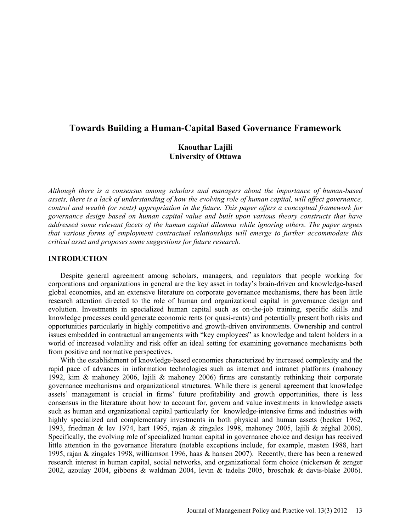# **Towards Building a Human-Capital Based Governance Framework**

# **Kaouthar Lajili University of Ottawa**

*Although there is a consensus among scholars and managers about the importance of human-based assets, there is a lack of understanding of how the evolving role of human capital, will affect governance, control and wealth (or rents) appropriation in the future. This paper offers a conceptual framework for governance design based on human capital value and built upon various theory constructs that have addressed some relevant facets of the human capital dilemma while ignoring others. The paper argues that various forms of employment contractual relationships will emerge to further accommodate this critical asset and proposes some suggestions for future research.*

## **INTRODUCTION**

Despite general agreement among scholars, managers, and regulators that people working for corporations and organizations in general are the key asset in today's brain-driven and knowledge-based global economies, and an extensive literature on corporate governance mechanisms, there has been little research attention directed to the role of human and organizational capital in governance design and evolution. Investments in specialized human capital such as on-the-job training, specific skills and knowledge processes could generate economic rents (or quasi-rents) and potentially present both risks and opportunities particularly in highly competitive and growth-driven environments. Ownership and control issues embedded in contractual arrangements with "key employees" as knowledge and talent holders in a world of increased volatility and risk offer an ideal setting for examining governance mechanisms both from positive and normative perspectives.

With the establishment of knowledge-based economies characterized by increased complexity and the rapid pace of advances in information technologies such as internet and intranet platforms (mahoney 1992, kim & mahoney 2006, lajili & mahoney 2006) firms are constantly rethinking their corporate governance mechanisms and organizational structures. While there is general agreement that knowledge assets' management is crucial in firms' future profitability and growth opportunities, there is less consensus in the literature about how to account for, govern and value investments in knowledge assets such as human and organizational capital particularly for knowledge-intensive firms and industries with highly specialized and complementary investments in both physical and human assets (becker 1962, 1993, friedman & lev 1974, hart 1995, rajan & zingales 1998, mahoney 2005, lajili & zéghal 2006). Specifically, the evolving role of specialized human capital in governance choice and design has received little attention in the governance literature (notable exceptions include, for example, masten 1988, hart 1995, rajan & zingales 1998, williamson 1996, haas & hansen 2007). Recently, there has been a renewed research interest in human capital, social networks, and organizational form choice (nickerson & zenger 2002, azoulay 2004, gibbons & waldman 2004, levin & tadelis 2005, broschak & davis-blake 2006).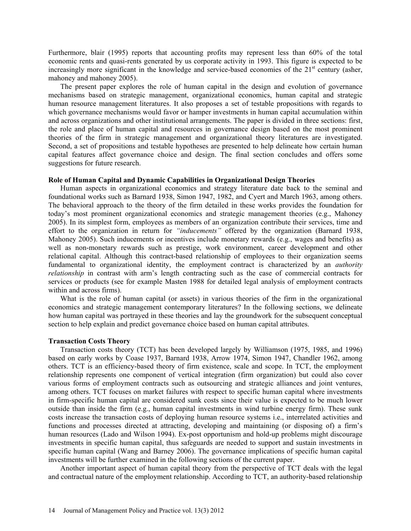Furthermore, blair (1995) reports that accounting profits may represent less than 60% of the total economic rents and quasi-rents generated by us corporate activity in 1993. This figure is expected to be increasingly more significant in the knowledge and service-based economies of the  $21<sup>st</sup>$  century (asher, mahoney and mahoney 2005).

The present paper explores the role of human capital in the design and evolution of governance mechanisms based on strategic management, organizational economics, human capital and strategic human resource management literatures. It also proposes a set of testable propositions with regards to which governance mechanisms would favor or hamper investments in human capital accumulation within and across organizations and other institutional arrangements. The paper is divided in three sections: first, the role and place of human capital and resources in governance design based on the most prominent theories of the firm in strategic management and organizational theory literatures are investigated. Second, a set of propositions and testable hypotheses are presented to help delineate how certain human capital features affect governance choice and design. The final section concludes and offers some suggestions for future research.

#### **Role of Human Capital and Dynamic Capabilities in Organizational Design Theories**

Human aspects in organizational economics and strategy literature date back to the seminal and foundational works such as Barnard 1938, Simon 1947, 1982, and Cyert and March 1963, among others. The behavioral approach to the theory of the firm detailed in these works provides the foundation for today's most prominent organizational economics and strategic management theories (e.g., Mahoney 2005). In its simplest form, employees as members of an organization contribute their services, time and effort to the organization in return for *"inducements"* offered by the organization (Barnard 1938, Mahoney 2005). Such inducements or incentives include monetary rewards (e.g., wages and benefits) as well as non-monetary rewards such as prestige, work environment, career development and other relational capital. Although this contract-based relationship of employees to their organization seems fundamental to organizational identity, the employment contract is characterized by an *authority relationship* in contrast with arm's length contracting such as the case of commercial contracts for services or products (see for example Masten 1988 for detailed legal analysis of employment contracts within and across firms).

What is the role of human capital (or assets) in various theories of the firm in the organizational economics and strategic management contemporary literatures? In the following sections, we delineate how human capital was portrayed in these theories and lay the groundwork for the subsequent conceptual section to help explain and predict governance choice based on human capital attributes.

#### **Transaction Costs Theory**

Transaction costs theory (TCT) has been developed largely by Williamson (1975, 1985, and 1996) based on early works by Coase 1937, Barnard 1938, Arrow 1974, Simon 1947, Chandler 1962, among others. TCT is an efficiency-based theory of firm existence, scale and scope. In TCT, the employment relationship represents one component of vertical integration (firm organization) but could also cover various forms of employment contracts such as outsourcing and strategic alliances and joint ventures, among others. TCT focuses on market failures with respect to specific human capital where investments in firm-specific human capital are considered sunk costs since their value is expected to be much lower outside than inside the firm (e.g., human capital investments in wind turbine energy firm). These sunk costs increase the transaction costs of deploying human resource systems i.e., interrelated activities and functions and processes directed at attracting, developing and maintaining (or disposing of) a firm's human resources (Lado and Wilson 1994). Ex-post opportunism and hold-up problems might discourage investments in specific human capital, thus safeguards are needed to support and sustain investments in specific human capital (Wang and Barney 2006). The governance implications of specific human capital investments will be further examined in the following sections of the current paper.

Another important aspect of human capital theory from the perspective of TCT deals with the legal and contractual nature of the employment relationship. According to TCT, an authority-based relationship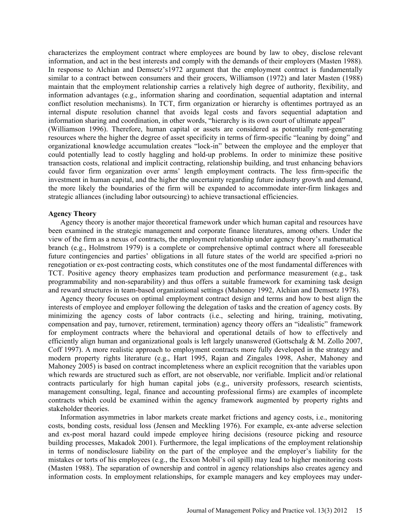characterizes the employment contract where employees are bound by law to obey, disclose relevant information, and act in the best interests and comply with the demands of their employers (Masten 1988). In response to Alchian and Demsetz's1972 argument that the employment contract is fundamentally similar to a contract between consumers and their grocers, Williamson (1972) and later Masten (1988) maintain that the employment relationship carries a relatively high degree of authority, flexibility, and information advantages (e.g., information sharing and coordination, sequential adaptation and internal conflict resolution mechanisms). In TCT, firm organization or hierarchy is oftentimes portrayed as an internal dispute resolution channel that avoids legal costs and favors sequential adaptation and information sharing and coordination, in other words, "hierarchy is its own court of ultimate appeal" (Williamson 1996). Therefore, human capital or assets are considered as potentially rent-generating resources where the higher the degree of asset specificity in terms of firm-specific "leaning by doing" and organizational knowledge accumulation creates "lock-in" between the employee and the employer that could potentially lead to costly haggling and hold-up problems. In order to minimize these positive transaction costs, relational and implicit contracting, relationship building, and trust enhancing behaviors could favor firm organization over arms' length employment contracts. The less firm-specific the investment in human capital, and the higher the uncertainty regarding future industry growth and demand, the more likely the boundaries of the firm will be expanded to accommodate inter-firm linkages and strategic alliances (including labor outsourcing) to achieve transactional efficiencies.

#### **Agency Theory**

Agency theory is another major theoretical framework under which human capital and resources have been examined in the strategic management and corporate finance literatures, among others. Under the view of the firm as a nexus of contracts, the employment relationship under agency theory's mathematical branch (e.g., Holmstrom 1979) is a complete or comprehensive optimal contract where all foreseeable future contingencies and parties' obligations in all future states of the world are specified a-priori no renegotiation or ex-post contracting costs, which constitutes one of the most fundamental differences with TCT. Positive agency theory emphasizes team production and performance measurement (e.g., task programmability and non-separability) and thus offers a suitable framework for examining task design and reward structures in team-based organizational settings (Mahoney 1992, Alchian and Demsetz 1978).

Agency theory focuses on optimal employment contract design and terms and how to best align the interests of employee and employer following the delegation of tasks and the creation of agency costs. By minimizing the agency costs of labor contracts (i.e., selecting and hiring, training, motivating, compensation and pay, turnover, retirement, termination) agency theory offers an "idealistic" framework for employment contracts where the behavioral and operational details of how to effectively and efficiently align human and organizational goals is left largely unanswered (Gottschalg  $\& M.$  Zollo 2007, Coff 1997). A more realistic approach to employment contracts more fully developed in the strategy and modern property rights literature (e.g., Hart 1995, Rajan and Zingales 1998, Asher, Mahoney and Mahoney 2005) is based on contract incompleteness where an explicit recognition that the variables upon which rewards are structured such as effort, are not observable, nor verifiable. Implicit and/or relational contracts particularly for high human capital jobs (e.g., university professors, research scientists, management consulting, legal, finance and accounting professional firms) are examples of incomplete contracts which could be examined within the agency framework augmented by property rights and stakeholder theories.

Information asymmetries in labor markets create market frictions and agency costs, i.e., monitoring costs, bonding costs, residual loss (Jensen and Meckling 1976). For example, ex-ante adverse selection and ex-post moral hazard could impede employee hiring decisions (resource picking and resource building processes, Makadok 2001). Furthermore, the legal implications of the employment relationship in terms of nondisclosure liability on the part of the employee and the employer's liability for the mistakes or torts of his employees (e.g., the Exxon Mobil's oil spill) may lead to higher monitoring costs (Masten 1988). The separation of ownership and control in agency relationships also creates agency and information costs. In employment relationships, for example managers and key employees may under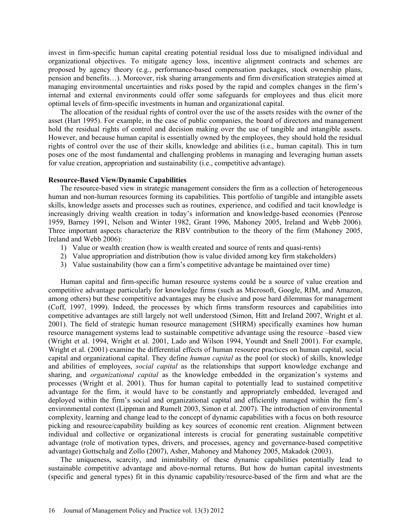invest in firm-specific human capital creating potential residual loss due to misaligned individual and organizational objectives. To mitigate agency loss, incentive alignment contracts and schemes are proposed by agency theory (e.g., performance-based compensation packages, stock ownership plans, pension and benefits…). Moreover, risk sharing arrangements and firm diversification strategies aimed at managing environmental uncertainties and risks posed by the rapid and complex changes in the firm's internal and external environments could offer some safeguards for employees and thus elicit more optimal levels of firm-specific investments in human and organizational capital.

The allocation of the residual rights of control over the use of the assets resides with the owner of the asset (Hart 1995). For example, in the case of public companies, the board of directors and management hold the residual rights of control and decision making over the use of tangible and intangible assets. However, and because human capital is essentially owned by the employees, they should hold the residual rights of control over the use of their skills, knowledge and abilities (i.e., human capital). This in turn poses one of the most fundamental and challenging problems in managing and leveraging human assets for value creation, appropriation and sustainability (i.e., competitive advantage).

#### **Resource-Based View/Dynamic Capabilities**

The resource-based view in strategic management considers the firm as a collection of heterogeneous human and non-human resources forming its capabilities. This portfolio of tangible and intangible assets skills, knowledge assets and processes such as routines, experience, and codified and tacit knowledge is increasingly driving wealth creation in today's information and knowledge-based economies (Penrose 1959, Barney 1991, Nelson and Winter 1982, Grant 1996, Mahoney 2005, Ireland and Webb 2006). Three important aspects characterize the RBV contribution to the theory of the firm (Mahoney 2005, Ireland and Webb 2006):

- 1) Value or wealth creation (how is wealth created and source of rents and quasi-rents)
- 2) Value appropriation and distribution (how is value divided among key firm stakeholders)
- 3) Value sustainability (how can a firm's competitive advantage be maintained over time)

Human capital and firm-specific human resource systems could be a source of value creation and competitive advantage particularly for knowledge firms (such as Microsoft, Google, RIM, and Amazon, among others) but these competitive advantages may be elusive and pose hard dilemmas for management (Coff, 1997, 1999). Indeed, the processes by which firms transform resources and capabilities into competitive advantages are still largely not well understood (Simon, Hitt and Ireland 2007, Wright et al. 2001). The field of strategic human resource management (SHRM) specifically examines how human resource management systems lead to sustainable competitive advantage using the resource –based view (Wright et al. 1994, Wright et al. 2001, Lado and Wilson 1994, Youndt and Snell 2001). For example, Wright et al. (2001) examine the differential effects of human resource practices on human capital, social capital and organizational capital. They define *human capital* as the pool (or stock) of skills, knowledge and abilities of employees, *social capital* as the relationships that support knowledge exchange and sharing, and *organizational capital* as the knowledge embedded in the organization's systems and processes (Wright et al. 2001). Thus for human capital to potentially lead to sustained competitive advantage for the firm, it would have to be constantly and appropriately embedded, leveraged and deployed within the firm's social and organizational capital and efficiently managed within the firm's environmental context (Lippman and Rumelt 2003, Simon et al. 2007). The introduction of environmental complexity, learning and change lead to the concept of dynamic capabilities with a focus on both resource picking and resource/capability building as key sources of economic rent creation. Alignment between individual and collective or organizational interests is crucial for generating sustainable competitive advantage (role of motivation types, drivers, and processes, agency and governance-based competitive advantage) Gottschalg and Zollo (2007), Asher, Mahoney and Mahoney 2005, Makadok (2003).

The uniqueness, scarcity, and inimitability of these dynamic capabilities potentially lead to sustainable competitive advantage and above-normal returns. But how do human capital investments (specific and general types) fit in this dynamic capability/resource-based of the firm and what are the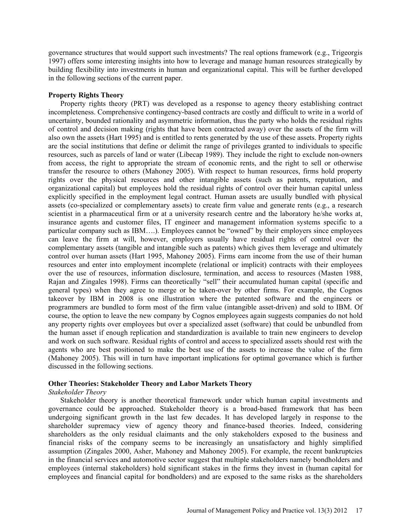governance structures that would support such investments? The real options framework (e.g., Trigeorgis 1997) offers some interesting insights into how to leverage and manage human resources strategically by building flexibility into investments in human and organizational capital. This will be further developed in the following sections of the current paper.

#### **Property Rights Theory**

Property rights theory (PRT) was developed as a response to agency theory establishing contract incompleteness. Comprehensive contingency-based contracts are costly and difficult to write in a world of uncertainty, bounded rationality and asymmetric information, thus the party who holds the residual rights of control and decision making (rights that have been contracted away) over the assets of the firm will also own the assets (Hart 1995) and is entitled to rents generated by the use of these assets. Property rights are the social institutions that define or delimit the range of privileges granted to individuals to specific resources, such as parcels of land or water (Libecap 1989). They include the right to exclude non-owners from access, the right to appropriate the stream of economic rents, and the right to sell or otherwise transfer the resource to others (Mahoney 2005). With respect to human resources, firms hold property rights over the physical resources and other intangible assets (such as patents, reputation, and organizational capital) but employees hold the residual rights of control over their human capital unless explicitly specified in the employment legal contract. Human assets are usually bundled with physical assets (co-specialized or complementary assets) to create firm value and generate rents (e.g., a research scientist in a pharmaceutical firm or at a university research centre and the laboratory he/she works at, insurance agents and customer files, IT engineer and management information systems specific to a particular company such as IBM….). Employees cannot be "owned" by their employers since employees can leave the firm at will, however, employers usually have residual rights of control over the complementary assets (tangible and intangible such as patents) which gives them leverage and ultimately control over human assets (Hart 1995, Mahoney 2005). Firms earn income from the use of their human resources and enter into employment incomplete (relational or implicit) contracts with their employees over the use of resources, information disclosure, termination, and access to resources (Masten 1988, Rajan and Zingales 1998). Firms can theoretically "sell" their accumulated human capital (specific and general types) when they agree to merge or be taken-over by other firms. For example, the Cognos takeover by IBM in 2008 is one illustration where the patented software and the engineers or programmers are bundled to form most of the firm value (intangible asset-driven) and sold to IBM. Of course, the option to leave the new company by Cognos employees again suggests companies do not hold any property rights over employees but over a specialized asset (software) that could be unbundled from the human asset if enough replication and standardization is available to train new engineers to develop and work on such software. Residual rights of control and access to specialized assets should rest with the agents who are best positioned to make the best use of the assets to increase the value of the firm (Mahoney 2005). This will in turn have important implications for optimal governance which is further discussed in the following sections.

# **Other Theories: Stakeholder Theory and Labor Markets Theory**

#### *Stakeholder Theory*

Stakeholder theory is another theoretical framework under which human capital investments and governance could be approached. Stakeholder theory is a broad-based framework that has been undergoing significant growth in the last few decades. It has developed largely in response to the shareholder supremacy view of agency theory and finance-based theories. Indeed, considering shareholders as the only residual claimants and the only stakeholders exposed to the business and financial risks of the company seems to be increasingly an unsatisfactory and highly simplified assumption (Zingales 2000, Asher, Mahoney and Mahoney 2005). For example, the recent bankruptcies in the financial services and automotive sector suggest that multiple stakeholders namely bondholders and employees (internal stakeholders) hold significant stakes in the firms they invest in (human capital for employees and financial capital for bondholders) and are exposed to the same risks as the shareholders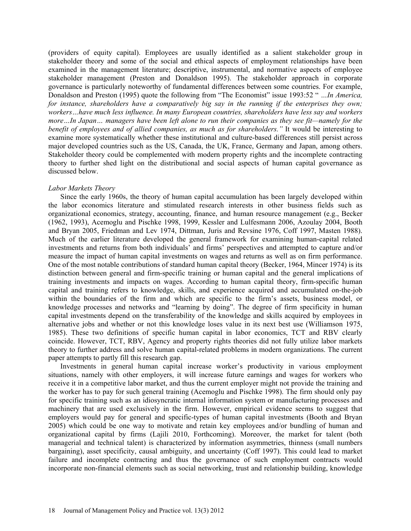(providers of equity capital). Employees are usually identified as a salient stakeholder group in stakeholder theory and some of the social and ethical aspects of employment relationships have been examined in the management literature; descriptive, instrumental, and normative aspects of employee stakeholder management (Preston and Donaldson 1995). The stakeholder approach in corporate governance is particularly noteworthy of fundamental differences between some countries. For example, Donaldson and Preston (1995) quote the following from "The Economist" issue 1993:52 " *…In America, for instance, shareholders have a comparatively big say in the running if the enterprises they own; workers…have much less influence. In many European countries, shareholders have less say and workers more…In Japan… managers have been left alone to run their companies as they see fit—namely for the benefit of employees and of allied companies, as much as for shareholders."* It would be interesting to examine more systematically whether these institutional and culture-based differences still persist across major developed countries such as the US, Canada, the UK, France, Germany and Japan, among others. Stakeholder theory could be complemented with modern property rights and the incomplete contracting theory to further shed light on the distributional and social aspects of human capital governance as discussed below.

## *Labor Markets Theory*

Since the early 1960s, the theory of human capital accumulation has been largely developed within the labor economics literature and stimulated research interests in other business fields such as organizational economics, strategy, accounting, finance, and human resource management (e.g., Becker (1962, 1993), Acemoglu and Pischke 1998, 1999, Kessler and Lulfesmann 2006, Azoulay 2004, Booth and Bryan 2005, Friedman and Lev 1974, Dittman, Juris and Revsine 1976, Coff 1997, Masten 1988). Much of the earlier literature developed the general framework for examining human-capital related investments and returns from both individuals' and firms' perspectives and attempted to capture and/or measure the impact of human capital investments on wages and returns as well as on firm performance. One of the most notable contributions of standard human capital theory (Becker, 1964, Mincer 1974) is its distinction between general and firm-specific training or human capital and the general implications of training investments and impacts on wages. According to human capital theory, firm-specific human capital and training refers to knowledge, skills, and experience acquired and accumulated on-the-job within the boundaries of the firm and which are specific to the firm's assets, business model, or knowledge processes and networks and "learning by doing". The degree of firm specificity in human capital investments depend on the transferability of the knowledge and skills acquired by employees in alternative jobs and whether or not this knowledge loses value in its next best use (Williamson 1975, 1985). These two definitions of specific human capital in labor economics, TCT and RBV clearly coincide. However, TCT, RBV, Agency and property rights theories did not fully utilize labor markets theory to further address and solve human capital-related problems in modern organizations. The current paper attempts to partly fill this research gap.

Investments in general human capital increase worker's productivity in various employment situations, namely with other employers, it will increase future earnings and wages for workers who receive it in a competitive labor market, and thus the current employer might not provide the training and the worker has to pay for such general training (Acemoglu and Pischke 1998). The firm should only pay for specific training such as an idiosyncratic internal information system or manufacturing processes and machinery that are used exclusively in the firm. However, empirical evidence seems to suggest that employers would pay for general and specific-types of human capital investments (Booth and Bryan 2005) which could be one way to motivate and retain key employees and/or bundling of human and organizational capital by firms (Lajili 2010, Forthcoming). Moreover, the market for talent (both managerial and technical talent) is characterized by information asymmetries, thinness (small numbers bargaining), asset specificity, causal ambiguity, and uncertainty (Coff 1997). This could lead to market failure and incomplete contracting and thus the governance of such employment contracts would incorporate non-financial elements such as social networking, trust and relationship building, knowledge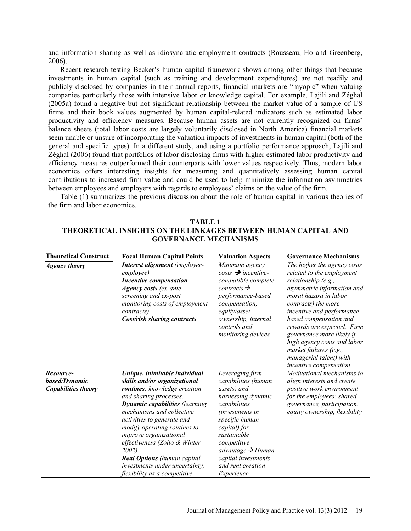and information sharing as well as idiosyncratic employment contracts (Rousseau, Ho and Greenberg, 2006).

Recent research testing Becker's human capital framework shows among other things that because investments in human capital (such as training and development expenditures) are not readily and publicly disclosed by companies in their annual reports, financial markets are "myopic" when valuing companies particularly those with intensive labor or knowledge capital. For example, Lajili and Zéghal (2005a) found a negative but not significant relationship between the market value of a sample of US firms and their book values augmented by human capital-related indicators such as estimated labor productivity and efficiency measures. Because human assets are not currently recognized on firms' balance sheets (total labor costs are largely voluntarily disclosed in North America) financial markets seem unable or unsure of incorporating the valuation impacts of investments in human capital (both of the general and specific types). In a different study, and using a portfolio performance approach, Lajili and Zéghal (2006) found that portfolios of labor disclosing firms with higher estimated labor productivity and efficiency measures outperformed their counterparts with lower values respectively. Thus, modern labor economics offers interesting insights for measuring and quantitatively assessing human capital contributions to increased firm value and could be used to help minimize the information asymmetries between employees and employers with regards to employees' claims on the value of the firm.

Table (1) summarizes the previous discussion about the role of human capital in various theories of the firm and labor economics.

| <b>Theoretical Construct</b>                             | <b>Focal Human Capital Points</b>                                                                                                                                                                                                                                                                                                                                                                                                       | <b>Valuation Aspects</b>                                                                                                                                                                                                                                                           | <b>Governance Mechanisms</b>                                                                                                                                                                                                                                                                                                                                                                   |
|----------------------------------------------------------|-----------------------------------------------------------------------------------------------------------------------------------------------------------------------------------------------------------------------------------------------------------------------------------------------------------------------------------------------------------------------------------------------------------------------------------------|------------------------------------------------------------------------------------------------------------------------------------------------------------------------------------------------------------------------------------------------------------------------------------|------------------------------------------------------------------------------------------------------------------------------------------------------------------------------------------------------------------------------------------------------------------------------------------------------------------------------------------------------------------------------------------------|
| <b>Agency theory</b>                                     | Interest alignment (employer-<br>employee)<br><b>Incentive compensation</b><br><b>Agency costs</b> (ex-ante<br>screening and ex-post<br>monitoring costs of employment<br><i>contracts</i> )<br>Cost/risk sharing contracts                                                                                                                                                                                                             | Minimum agency<br>$costs \rightarrow incentive$<br>compatible complete<br>contracts $\rightarrow$<br>performance-based<br>compensation,<br>equity/asset<br>ownership, internal<br>controls and<br>monitoring devices                                                               | The higher the agency costs<br>related to the employment<br>relationship (e.g.,<br>asymmetric information and<br>moral hazard in labor<br>contracts) the more<br>incentive and performance-<br>based compensation and<br>rewards are expected. Firm<br>governance more likely if<br>high agency costs and labor<br>market failures (e.g.,<br>managerial talent) with<br>incentive compensation |
| Resource-<br>based/Dynamic<br><b>Capabilities theory</b> | Unique, inimitable individual<br>skills and/or organizational<br>routines: knowledge creation<br>and sharing processes.<br><b>Dynamic capabilities (learning</b><br>mechanisms and collective<br>activities to generate and<br>modify operating routines to<br>improve organizational<br>effectiveness (Zollo & Winter<br>2002)<br><b>Real Options</b> (human capital<br>investments under uncertainty,<br>flexibility as a competitive | Leveraging firm<br>capabilities (human<br>assets) and<br>harnessing dynamic<br>capabilities<br><i>(investments in</i> )<br>specific human<br>capital) for<br>sustainable<br>competitive<br>advantage $\rightarrow$ Human<br>capital investments<br>and rent creation<br>Experience | Motivational mechanisms to<br>align interests and create<br>positive work environment<br>for the employees: shared<br>governance, participation,<br>equity ownership, flexibility                                                                                                                                                                                                              |

**TABLE 1**

# **THEORETICAL INSIGHTS ON THE LINKAGES BETWEEN HUMAN CAPITAL AND GOVERNANCE MECHANISMS**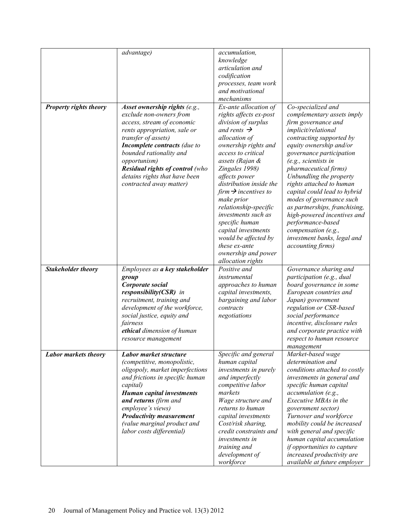|                               | advantage)                             | accumulation,                    |                               |
|-------------------------------|----------------------------------------|----------------------------------|-------------------------------|
|                               |                                        | knowledge                        |                               |
|                               |                                        | articulation and                 |                               |
|                               |                                        | codification                     |                               |
|                               |                                        | processes, team work             |                               |
|                               |                                        | and motivational                 |                               |
|                               |                                        | mechanisms                       |                               |
| <b>Property rights theory</b> | Asset ownership rights (e.g.,          | Ex-ante allocation of            | Co-specialized and            |
|                               | exclude non-owners from                | rights affects ex-post           | complementary assets imply    |
|                               | access, stream of economic             | division of surplus              | firm governance and           |
|                               | rents appropriation, sale or           | and rents $\rightarrow$          | implicit/relational           |
|                               | transfer of assets)                    | allocation of                    | contracting supported by      |
|                               | Incomplete contracts (due to           | ownership rights and             | equity ownership and/or       |
|                               | bounded rationality and                | access to critical               | governance participation      |
|                               | opportunism)                           | assets (Rajan &                  | (e.g., scientists in          |
|                               | <b>Residual rights of control</b> (who | Zingales 1998)                   | pharmaceutical firms)         |
|                               | detains rights that have been          | affects power                    | Unbundling the property       |
|                               | contracted away matter)                | distribution inside the          | rights attached to human      |
|                               |                                        | firm $\rightarrow$ incentives to | capital could lead to hybrid  |
|                               |                                        | make prior                       | modes of governance such      |
|                               |                                        | relationship-specific            | as partnerships, franchising, |
|                               |                                        | investments such as              | high-powered incentives and   |
|                               |                                        | specific human                   | performance-based             |
|                               |                                        | capital investments              | compensation (e.g.,           |
|                               |                                        | would be affected by             | investment banks, legal and   |
|                               |                                        | these ex-ante                    | accounting firms)             |
|                               |                                        | ownership and power              |                               |
|                               |                                        | allocation rights                |                               |
| <b>Stakeholder theory</b>     | Employees as a key stakeholder         | Positive and                     | Governance sharing and        |
|                               | group                                  | instrumental                     | participation (e.g., dual     |
|                               | Corporate social                       | approaches to human              | board governance in some      |
|                               | responsibility(CSR) in                 | capital investments,             | European countries and        |
|                               | recruitment, training and              | bargaining and labor             | Japan) government             |
|                               | development of the workforce,          | contracts                        | regulation or CSR-based       |
|                               |                                        |                                  |                               |
|                               | social justice, equity and             | negotiations                     | social performance            |
|                               | fairness                               |                                  | incentive, disclosure rules   |
|                               | ethical dimension of human             |                                  | and corporate practice with   |
|                               | resource management                    |                                  | respect to human resource     |
|                               |                                        |                                  | management                    |
| Labor markets theory          | Labor market structure                 | Specific and general             | Market-based wage             |
|                               | (competitive, monopolistic,            | human capital                    | determination and             |
|                               | oligopoly, market imperfections        | investments in purely            | conditions attached to costly |
|                               | and frictions in specific human        | and imperfectly                  | investments in general and    |
|                               | capital)                               | competitive labor                | specific human capital        |
|                               | <b>Human capital investments</b>       | markets                          | accumulation (e.g.,           |
|                               | and returns (firm and                  | Wage structure and               | Executive MBAs in the         |
|                               | employee's views)                      | returns to human                 | government sector)            |
|                               | <b>Productivity measurement</b>        | capital investments              | Turnover and workforce        |
|                               | (value marginal product and            | Cost/risk sharing,               | mobility could be increased   |
|                               | labor costs differential)              | credit constraints and           | with general and specific     |
|                               |                                        | investments in                   | human capital accumulation    |
|                               |                                        | training and                     | if opportunities to capture   |
|                               |                                        | development of                   | increased productivity are    |
|                               |                                        | workforce                        | available at future employer  |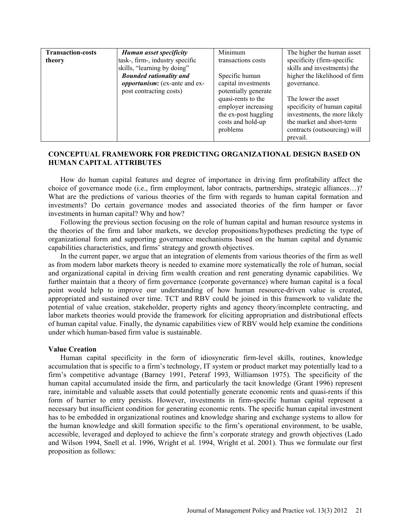| <b>Transaction-costs</b><br>Human asset specificity<br>task-, firm-, industry specific<br>theory<br>skills, "learning by doing"<br><b>Bounded rationality and</b><br><i>opportunism</i> : (ex-ante and ex-<br>post contracting costs) | Minimum<br>transactions costs<br>Specific human<br>capital investments<br>potentially generate<br>quasi-rents to the<br>employer increasing<br>the ex-post haggling<br>costs and hold-up<br>problems | The higher the human asset<br>specificity (firm-specific<br>skills and investments) the<br>higher the likelihood of firm<br>governance.<br>The lower the asset<br>specificity of human capital<br>investments, the more likely<br>the market and short-term<br>contracts (outsourcing) will<br>prevail. |
|---------------------------------------------------------------------------------------------------------------------------------------------------------------------------------------------------------------------------------------|------------------------------------------------------------------------------------------------------------------------------------------------------------------------------------------------------|---------------------------------------------------------------------------------------------------------------------------------------------------------------------------------------------------------------------------------------------------------------------------------------------------------|
|---------------------------------------------------------------------------------------------------------------------------------------------------------------------------------------------------------------------------------------|------------------------------------------------------------------------------------------------------------------------------------------------------------------------------------------------------|---------------------------------------------------------------------------------------------------------------------------------------------------------------------------------------------------------------------------------------------------------------------------------------------------------|

# **CONCEPTUAL FRAMEWORK FOR PREDICTING ORGANIZATIONAL DESIGN BASED ON HUMAN CAPITAL ATTRIBUTES**

How do human capital features and degree of importance in driving firm profitability affect the choice of governance mode (i.e., firm employment, labor contracts, partnerships, strategic alliances…)? What are the predictions of various theories of the firm with regards to human capital formation and investments? Do certain governance modes and associated theories of the firm hamper or favor investments in human capital? Why and how?

Following the previous section focusing on the role of human capital and human resource systems in the theories of the firm and labor markets, we develop propositions/hypotheses predicting the type of organizational form and supporting governance mechanisms based on the human capital and dynamic capabilities characteristics, and firms' strategy and growth objectives.

In the current paper, we argue that an integration of elements from various theories of the firm as well as from modern labor markets theory is needed to examine more systematically the role of human, social and organizational capital in driving firm wealth creation and rent generating dynamic capabilities. We further maintain that a theory of firm governance (corporate governance) where human capital is a focal point would help to improve our understanding of how human resource-driven value is created, appropriated and sustained over time. TCT and RBV could be joined in this framework to validate the potential of value creation, stakeholder, property rights and agency theory/incomplete contracting, and labor markets theories would provide the framework for eliciting appropriation and distributional effects of human capital value. Finally, the dynamic capabilities view of RBV would help examine the conditions under which human-based firm value is sustainable.

#### **Value Creation**

Human capital specificity in the form of idiosyncratic firm-level skills, routines, knowledge accumulation that is specific to a firm's technology, IT system or product market may potentially lead to a firm's competitive advantage (Barney 1991, Peteraf 1993, Williamson 1975). The specificity of the human capital accumulated inside the firm, and particularly the tacit knowledge (Grant 1996) represent rare, inimitable and valuable assets that could potentially generate economic rents and quasi-rents if this form of barrier to entry persists. However, investments in firm-specific human capital represent a necessary but insufficient condition for generating economic rents. The specific human capital investment has to be embedded in organizational routines and knowledge sharing and exchange systems to allow for the human knowledge and skill formation specific to the firm's operational environment, to be usable, accessible, leveraged and deployed to achieve the firm's corporate strategy and growth objectives (Lado and Wilson 1994, Snell et al. 1996, Wright et al. 1994, Wright et al. 2001). Thus we formulate our first proposition as follows: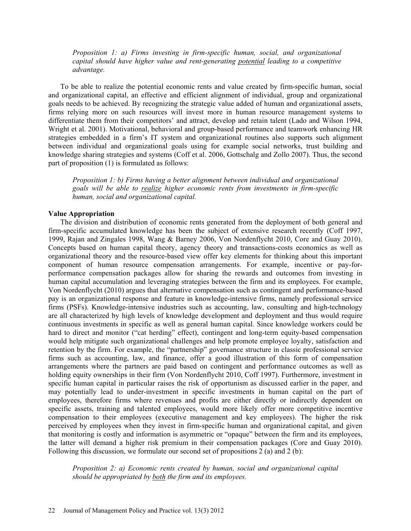*Proposition 1: a) Firms investing in firm-specific human, social, and organizational capital should have higher value and rent-generating potential leading to a competitive advantage.*

To be able to realize the potential economic rents and value created by firm-specific human, social and organizational capital, an effective and efficient alignment of individual, group and organizational goals needs to be achieved. By recognizing the strategic value added of human and organizational assets, firms relying more on such resources will invest more in human resource management systems to differentiate them from their competitors' and attract, develop and retain talent (Lado and Wilson 1994, Wright et al. 2001). Motivational, behavioral and group-based performance and teamwork enhancing HR strategies embedded in a firm's IT system and organizational routines also supports such alignment between individual and organizational goals using for example social networks, trust building and knowledge sharing strategies and systems (Coff et al. 2006, Gottschalg and Zollo 2007). Thus, the second part of proposition (1) is formulated as follows:

*Proposition 1: b) Firms having a better alignment between individual and organizational goals will be able to realize higher economic rents from investments in firm-specific human, social and organizational capital.*

#### **Value Appropriation**

The division and distribution of economic rents generated from the deployment of both general and firm-specific accumulated knowledge has been the subject of extensive research recently (Coff 1997, 1999, Rajan and Zingales 1998, Wang & Barney 2006, Von Nordenflycht 2010, Core and Guay 2010). Concepts based on human capital theory, agency theory and transactions-costs economics as well as organizational theory and the resource-based view offer key elements for thinking about this important component of human resource compensation arrangements. For example, incentive or pay-forperformance compensation packages allow for sharing the rewards and outcomes from investing in human capital accumulation and leveraging strategies between the firm and its employees. For example, Von Nordenflycht (2010) argues that alternative compensation such as contingent and performance-based pay is an organizational response and feature in knowledge-intensive firms, namely professional service firms (PSFs). Knowledge-intensive industries such as accounting, law, consulting and high-technology are all characterized by high levels of knowledge development and deployment and thus would require continuous investments in specific as well as general human capital. Since knowledge workers could be hard to direct and monitor ("cat herding" effect), contingent and long-term equity-based compensation would help mitigate such organizational challenges and help promote employee loyalty, satisfaction and retention by the firm. For example, the "partnership" governance structure in classic professional service firms such as accounting, law, and finance, offer a good illustration of this form of compensation arrangements where the partners are paid based on contingent and performance outcomes as well as holding equity ownerships in their firm (Von Nordenflycht 2010, Coff 1997). Furthermore, investment in specific human capital in particular raises the risk of opportunism as discussed earlier in the paper, and may potentially lead to under-investment in specific investments in human capital on the part of employees, therefore firms where revenues and profits are either directly or indirectly dependent on specific assets, training and talented employees, would more likely offer more competitive incentive compensation to their employees (executive management and key employees). The higher the risk perceived by employees when they invest in firm-specific human and organizational capital, and given that monitoring is costly and information is asymmetric or "opaque" between the firm and its employees, the latter will demand a higher risk premium in their compensation packages (Core and Guay 2010). Following this discussion, we formulate our second set of propositions 2 (a) and 2 (b):

*Proposition 2: a) Economic rents created by human, social and organizational capital should be appropriated by both the firm and its employees.*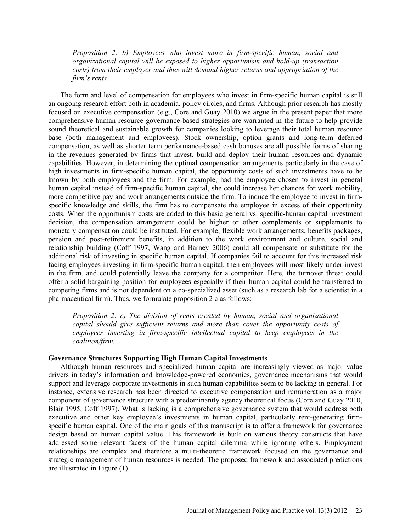*Proposition 2: b) Employees who invest more in firm-specific human, social and organizational capital will be exposed to higher opportunism and hold-up (transaction costs) from their employer and thus will demand higher returns and appropriation of the firm's rents.*

The form and level of compensation for employees who invest in firm-specific human capital is still an ongoing research effort both in academia, policy circles, and firms. Although prior research has mostly focused on executive compensation (e.g., Core and Guay 2010) we argue in the present paper that more comprehensive human resource governance-based strategies are warranted in the future to help provide sound theoretical and sustainable growth for companies looking to leverage their total human resource base (both management and employees). Stock ownership, option grants and long-term deferred compensation, as well as shorter term performance-based cash bonuses are all possible forms of sharing in the revenues generated by firms that invest, build and deploy their human resources and dynamic capabilities. However, in determining the optimal compensation arrangements particularly in the case of high investments in firm-specific human capital, the opportunity costs of such investments have to be known by both employees and the firm. For example, had the employee chosen to invest in general human capital instead of firm-specific human capital, she could increase her chances for work mobility, more competitive pay and work arrangements outside the firm. To induce the employee to invest in firmspecific knowledge and skills, the firm has to compensate the employee in excess of their opportunity costs. When the opportunism costs are added to this basic general vs. specific-human capital investment decision, the compensation arrangement could be higher or other complements or supplements to monetary compensation could be instituted. For example, flexible work arrangements, benefits packages, pension and post-retirement benefits, in addition to the work environment and culture, social and relationship building (Coff 1997, Wang and Barney 2006) could all compensate or substitute for the additional risk of investing in specific human capital. If companies fail to account for this increased risk facing employees investing in firm-specific human capital, then employees will most likely under-invest in the firm, and could potentially leave the company for a competitor. Here, the turnover threat could offer a solid bargaining position for employees especially if their human capital could be transferred to competing firms and is not dependent on a co-specialized asset (such as a research lab for a scientist in a pharmaceutical firm). Thus, we formulate proposition 2 c as follows:

*Proposition 2: c) The division of rents created by human, social and organizational capital should give sufficient returns and more than cover the opportunity costs of employees investing in firm-specific intellectual capital to keep employees in the coalition/firm.* 

## **Governance Structures Supporting High Human Capital Investments**

Although human resources and specialized human capital are increasingly viewed as major value drivers in today's information and knowledge-powered economies, governance mechanisms that would support and leverage corporate investments in such human capabilities seem to be lacking in general. For instance, extensive research has been directed to executive compensation and remuneration as a major component of governance structure with a predominantly agency theoretical focus (Core and Guay 2010, Blair 1995, Coff 1997). What is lacking is a comprehensive governance system that would address both executive and other key employee's investments in human capital, particularly rent-generating firmspecific human capital. One of the main goals of this manuscript is to offer a framework for governance design based on human capital value. This framework is built on various theory constructs that have addressed some relevant facets of the human capital dilemma while ignoring others. Employment relationships are complex and therefore a multi-theoretic framework focused on the governance and strategic management of human resources is needed. The proposed framework and associated predictions are illustrated in Figure (1).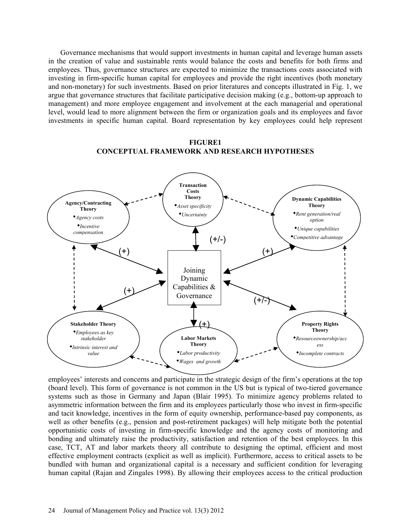Governance mechanisms that would support investments in human capital and leverage human assets in the creation of value and sustainable rents would balance the costs and benefits for both firms and employees. Thus, governance structures are expected to minimize the transactions costs associated with investing in firm-specific human capital for employees and provide the right incentives (both monetary and non-monetary) for such investments. Based on prior literatures and concepts illustrated in Fig. 1, we argue that governance structures that facilitate participative decision making (e.g., bottom-up approach to management) and more employee engagement and involvement at the each managerial and operational level, would lead to more alignment between the firm or organization goals and its employees and favor investments in specific human capital. Board representation by key employees could help represent



**FIGURE1 CONCEPTUAL FRAMEWORK AND RESEARCH HYPOTHESES**

employees' interests and concerns and participate in the strategic design of the firm's operations at the top (board level). This form of governance is not common in the US but is typical of two-tiered governance systems such as those in Germany and Japan (Blair 1995). To minimize agency problems related to asymmetric information between the firm and its employees particularly those who invest in firm-specific and tacit knowledge, incentives in the form of equity ownership, performance-based pay components, as well as other benefits (e.g., pension and post-retirement packages) will help mitigate both the potential opportunistic costs of investing in firm-specific knowledge and the agency costs of monitoring and bonding and ultimately raise the productivity, satisfaction and retention of the best employees. In this case, TCT, AT and labor markets theory all contribute to designing the optimal, efficient and most effective employment contracts (explicit as well as implicit). Furthermore, access to critical assets to be bundled with human and organizational capital is a necessary and sufficient condition for leveraging human capital (Rajan and Zingales 1998). By allowing their employees access to the critical production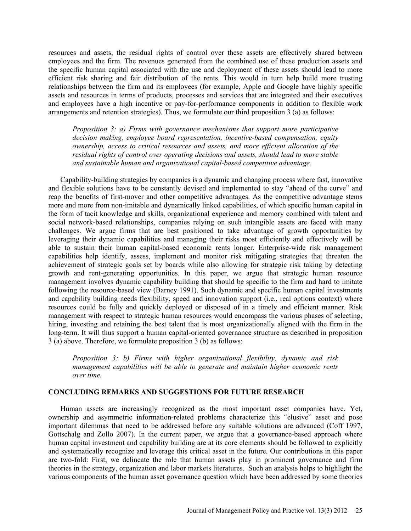resources and assets, the residual rights of control over these assets are effectively shared between employees and the firm. The revenues generated from the combined use of these production assets and the specific human capital associated with the use and deployment of these assets should lead to more efficient risk sharing and fair distribution of the rents. This would in turn help build more trusting relationships between the firm and its employees (for example, Apple and Google have highly specific assets and resources in terms of products, processes and services that are integrated and their executives and employees have a high incentive or pay-for-performance components in addition to flexible work arrangements and retention strategies). Thus, we formulate our third proposition 3 (a) as follows:

*Proposition 3: a) Firms with governance mechanisms that support more participative decision making, employee board representation, incentive-based compensation, equity ownership, access to critical resources and assets, and more efficient allocation of the residual rights of control over operating decisions and assets, should lead to more stable and sustainable human and organizational capital-based competitive advantage.* 

Capability-building strategies by companies is a dynamic and changing process where fast, innovative and flexible solutions have to be constantly devised and implemented to stay "ahead of the curve" and reap the benefits of first-mover and other competitive advantages. As the competitive advantage stems more and more from non-imitable and dynamically linked capabilities, of which specific human capital in the form of tacit knowledge and skills, organizational experience and memory combined with talent and social network-based relationships, companies relying on such intangible assets are faced with many challenges. We argue firms that are best positioned to take advantage of growth opportunities by leveraging their dynamic capabilities and managing their risks most efficiently and effectively will be able to sustain their human capital-based economic rents longer. Enterprise-wide risk management capabilities help identify, assess, implement and monitor risk mitigating strategies that threaten the achievement of strategic goals set by boards while also allowing for strategic risk taking by detecting growth and rent-generating opportunities. In this paper, we argue that strategic human resource management involves dynamic capability building that should be specific to the firm and hard to imitate following the resource-based view (Barney 1991). Such dynamic and specific human capital investments and capability building needs flexibility, speed and innovation support (i.e., real options context) where resources could be fully and quickly deployed or disposed of in a timely and efficient manner. Risk management with respect to strategic human resources would encompass the various phases of selecting, hiring, investing and retaining the best talent that is most organizationally aligned with the firm in the long-term. It will thus support a human capital-oriented governance structure as described in proposition 3 (a) above. Therefore, we formulate proposition 3 (b) as follows:

*Proposition 3: b) Firms with higher organizational flexibility, dynamic and risk management capabilities will be able to generate and maintain higher economic rents over time.* 

## **CONCLUDING REMARKS AND SUGGESTIONS FOR FUTURE RESEARCH**

Human assets are increasingly recognized as the most important asset companies have. Yet, ownership and asymmetric information-related problems characterize this "elusive" asset and pose important dilemmas that need to be addressed before any suitable solutions are advanced (Coff 1997, Gottschalg and Zollo 2007). In the current paper, we argue that a governance-based approach where human capital investment and capability building are at its core elements should be followed to explicitly and systematically recognize and leverage this critical asset in the future. Our contributions in this paper are two-fold: First, we delineate the role that human assets play in prominent governance and firm theories in the strategy, organization and labor markets literatures. Such an analysis helps to highlight the various components of the human asset governance question which have been addressed by some theories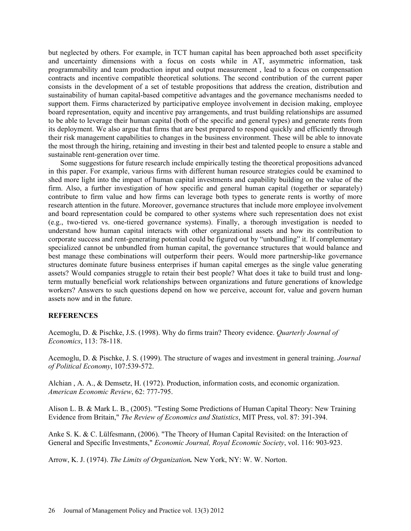but neglected by others. For example, in TCT human capital has been approached both asset specificity and uncertainty dimensions with a focus on costs while in AT, asymmetric information, task programmability and team production input and output measurement , lead to a focus on compensation contracts and incentive compatible theoretical solutions. The second contribution of the current paper consists in the development of a set of testable propositions that address the creation, distribution and sustainability of human capital-based competitive advantages and the governance mechanisms needed to support them. Firms characterized by participative employee involvement in decision making, employee board representation, equity and incentive pay arrangements, and trust building relationships are assumed to be able to leverage their human capital (both of the specific and general types) and generate rents from its deployment. We also argue that firms that are best prepared to respond quickly and efficiently through their risk management capabilities to changes in the business environment. These will be able to innovate the most through the hiring, retaining and investing in their best and talented people to ensure a stable and sustainable rent-generation over time.

Some suggestions for future research include empirically testing the theoretical propositions advanced in this paper. For example, various firms with different human resource strategies could be examined to shed more light into the impact of human capital investments and capability building on the value of the firm. Also, a further investigation of how specific and general human capital (together or separately) contribute to firm value and how firms can leverage both types to generate rents is worthy of more research attention in the future. Moreover, governance structures that include more employee involvement and board representation could be compared to other systems where such representation does not exist (e.g., two-tiered vs. one-tiered governance systems). Finally, a thorough investigation is needed to understand how human capital interacts with other organizational assets and how its contribution to corporate success and rent-generating potential could be figured out by "unbundling" it. If complementary specialized cannot be unbundled from human capital, the governance structures that would balance and best manage these combinations will outperform their peers. Would more partnership-like governance structures dominate future business enterprises if human capital emerges as the single value generating assets? Would companies struggle to retain their best people? What does it take to build trust and longterm mutually beneficial work relationships between organizations and future generations of knowledge workers? Answers to such questions depend on how we perceive, account for, value and govern human assets now and in the future.

## **REFERENCES**

Acemoglu, D. & Pischke, J.S. (1998). Why do firms train? Theory evidence. *Quarterly Journal of Economics*, 113: 78-118.

Acemoglu, D. & Pischke, J. S. (1999). The structure of wages and investment in general training. *Journal of Political Economy*, 107:539-572.

Alchian , A. A., & Demsetz, H. (1972). Production, information costs, and economic organization. *American Economic Review*, 62: 777-795.

Alison L. B. & Mark L. B., (2005). "Testing Some Predictions of Human Capital Theory: New Training Evidence from Britain," *The Review of Economics and Statistics*, MIT Press, vol. 87: 391-394.

Anke S. K. & C. Lülfesmann, (2006). "The Theory of Human Capital Revisited: on the Interaction of General and Specific Investments," *Economic Journal, Royal Economic Society*, vol. 116: 903-923.

Arrow, K. J. (1974). *The Limits of Organization.* New York, NY: W. W. Norton.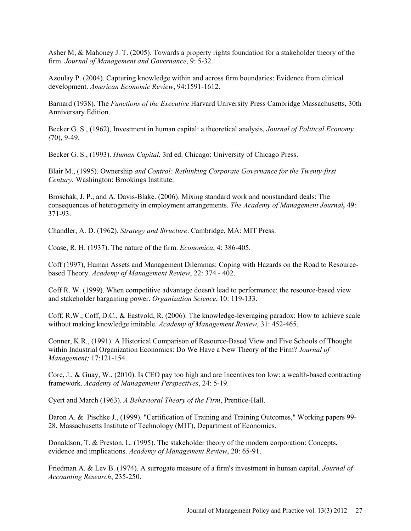Asher M, & Mahoney J. T. (2005). Towards a property rights foundation for a stakeholder theory of the firm. *Journal of Management and Governance*, 9: 5-32.

Azoulay P. (2004). Capturing knowledge within and across firm boundaries: Evidence from clinical development. *American Economic Review*, 94:1591-1612.

Barnard (1938). The *Functions of the Executive* Harvard University Press Cambridge Massachusetts, 30th Anniversary Edition.

Becker G. S., (1962), Investment in human capital: a theoretical analysis, *Journal of Political Economy (*70), 9-49.

Becker G. S., (1993). *Human Capital.* 3rd ed. Chicago: University of Chicago Press.

Blair M., (1995). Ownership *and Control: Rethinking Corporate Governance for the Twenty-first Century.* Washington: Brookings Institute.

Broschak, J. P., and A. Davis-Blake. (2006). Mixing standard work and nonstandard deals: The consequences of heterogeneity in employment arrangements. *The Academy of Management Journal,* 49: 371-93.

Chandler, A. D. (1962). *Strategy and Structure*. Cambridge, MA: MIT Press.

Coase, R. H. (1937). The nature of the firm. *Economica*, 4: 386-405.

Coff (1997), Human Assets and Management Dilemmas: Coping with Hazards on the Road to Resourcebased Theory. *Academy of Management Review*, 22: 374 - 402.

Coff R. W. (1999). When competitive advantage doesn't lead to performance: the resource-based view and stakeholder bargaining power. *Organization Science*, 10: 119-133.

Coff, R.W., Coff, D.C., & Eastvold, R. (2006). The knowledge-leveraging paradox: How to achieve scale without making knowledge imitable. *Academy of Management Review*, 31: 452-465.

Conner, K.R., (1991). A Historical Comparison of Resource-Based View and Five Schools of Thought within Industrial Organization Economics: Do We Have a New Theory of the Firm? *Journal of Management;* 17:121-154.

Core, J., & Guay, W., (2010). Is CEO pay too high and are Incentives too low: a wealth-based contracting framework. *Academy of Management Perspectives*, 24: 5-19.

Cyert and March (1963). *A Behavioral Theory of the Firm*, Prentice-Hall.

Daron A. & Pischke J., (1999). "Certification of Training and Training Outcomes," Working papers 99- 28, Massachusetts Institute of Technology (MIT), Department of Economics.

Donaldson, T. & Preston, L. (1995). The stakeholder theory of the modern corporation: Concepts, evidence and implications. *Academy of Management Review*, 20: 65-91.

Friedman A. & Lev B. (1974). A surrogate measure of a firm's investment in human capital. *Journal of Accounting Research*, 235-250.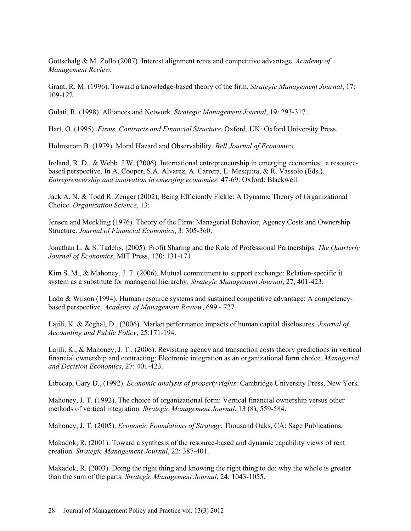Gottschalg & M. Zollo (2007). Interest alignment rents and competitive advantage. *Academy of Management Review*,

Grant, R. M. (1996). Toward a knowledge-based theory of the firm. *Strategic Management Journal*, 17: 109-122.

Gulati, R. (1998). Alliances and Network. *Strategic Management Journal*, 19: 293-317.

Hart, O. (1995). *Firms, Contracts and Financial Structure*. Oxford, UK: Oxford University Press.

Holmstrom B. (1979). Moral Hazard and Observability. *Bell Journal of Economics.* 

Ireland, R. D., & Webb, J.W. (2006). International entrepreneurship in emerging economies: a resourcebased perspective. In A. Cooper, S.A. Alvarez, A. Carrera, L. Mesquita, & R. Vassolo (Eds.). *Entrepreneurship and innovation in emerging economies*: 47-69: Oxford: Blackwell.

Jack A. N. & Todd R. Zenger (2002), Being Efficiently Fickle: A Dynamic Theory of Organizational Choice. *Organization Science*, 13:

Jensen and Meckling (1976). Theory of the Firm: Managerial Behavior, Agency Costs and Ownership Structure. *Journal of Financial Economics*, 3: 305-360.

Jonathan L. & S. Tadelis, (2005). Profit Sharing and the Role of Professional Partnerships. *The Quarterly Journal of Economics*, MIT Press, 120: 131-171.

Kim S. M., & Mahoney, J. T. (2006). Mutual commitment to support exchange: Relation-specific it system as a substitute for managerial hierarchy. *Strategic Management Journal*, 27, 401-423.

Lado & Wilson (1994). Human resource systems and sustained competitive advantage: A competencybased perspective, *Academy of Management Review*, 699 - 727.

Lajili, K. & Zéghal, D., (2006). Market performance impacts of human capital disclosures. *Journal of Accounting and Public Policy*, 25:171-194.

Lajili, K., & Mahoney, J. T., (2006). Revisiting agency and transaction costs theory predictions in vertical financial ownership and contracting: Electronic integration as an organizational form choice. *Managerial and Decision Economics*, 27: 401-423.

Libecap, Gary D., (1992). *Economic analysis of property rights*: Cambridge University Press, New York.

Mahoney, J. T. (1992). The choice of organizational form: Vertical financial ownership versus other methods of vertical integration. *Strategic Management Journal*, 13 (8), 559-584.

Mahoney, J. T. (2005). *Economic Foundations of Strategy*. Thousand Oaks, CA: Sage Publications.

Makadok, R. (2001). Toward a synthesis of the resource-based and dynamic capability views of rent creation. *Strategic Management Journal*, 22: 387-401.

Makadok, R. (2003). Doing the right thing and knowing the right thing to do: why the whole is greater than the sum of the parts. *Strategic Management Journal*, 24: 1043-1055.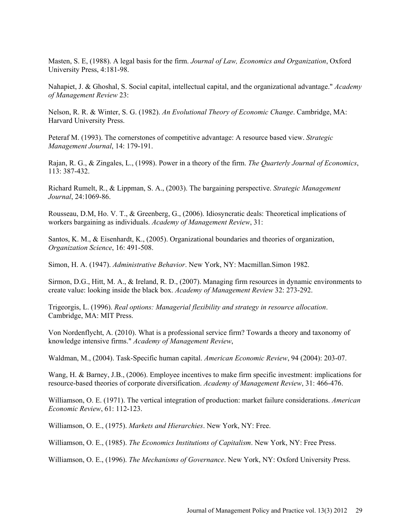Masten, S. E, (1988). A legal basis for the firm. *Journal of Law, Economics and Organization*, Oxford University Press, 4:181-98.

Nahapiet, J. & Ghoshal, S. Social capital, intellectual capital, and the organizational advantage." *Academy of Management Review* 23:

Nelson, R. R. & Winter, S. G. (1982). *An Evolutional Theory of Economic Change*. Cambridge, MA: Harvard University Press.

Peteraf M. (1993). The cornerstones of competitive advantage: A resource based view. *Strategic Management Journal*, 14: 179-191.

Rajan, R. G., & Zingales, L., (1998). Power in a theory of the firm. *The Quarterly Journal of Economics*, 113: 387-432.

Richard Rumelt, R., & Lippman, S. A., (2003). The bargaining perspective. *Strategic Management Journal*, 24:1069-86.

Rousseau, D.M, Ho. V. T., & Greenberg, G., (2006). Idiosyncratic deals: Theoretical implications of workers bargaining as individuals. *Academy of Management Review*, 31:

Santos, K. M., & Eisenhardt, K., (2005). Organizational boundaries and theories of organization, *Organization Science*, 16: 491-508.

Simon, H. A. (1947). *Administrative Behavior*. New York, NY: Macmillan.Simon 1982.

Sirmon, D.G., Hitt, M. A., & Ireland, R. D., (2007). Managing firm resources in dynamic environments to create value: looking inside the black box. *Academy of Management Review* 32: 273-292.

Trigeorgis, L. (1996). *Real options: Managerial flexibility and strategy in resource allocation*. Cambridge, MA: MIT Press.

Von Nordenflycht, A. (2010). What is a professional service firm? Towards a theory and taxonomy of knowledge intensive firms." *Academy of Management Review*,

Waldman, M., (2004). Task-Specific human capital. *American Economic Review*, 94 (2004): 203-07.

Wang, H. & Barney, J.B., (2006). Employee incentives to make firm specific investment: implications for resource-based theories of corporate diversification. *Academy of Management Review*, 31: 466-476.

Williamson, O. E. (1971). The vertical integration of production: market failure considerations. *American Economic Review*, 61: 112-123.

Williamson, O. E., (1975). *Markets and Hierarchies*. New York, NY: Free.

Williamson, O. E., (1985). *The Economics Institutions of Capitalism*. New York, NY: Free Press.

Williamson, O. E., (1996). *The Mechanisms of Governance*. New York, NY: Oxford University Press.